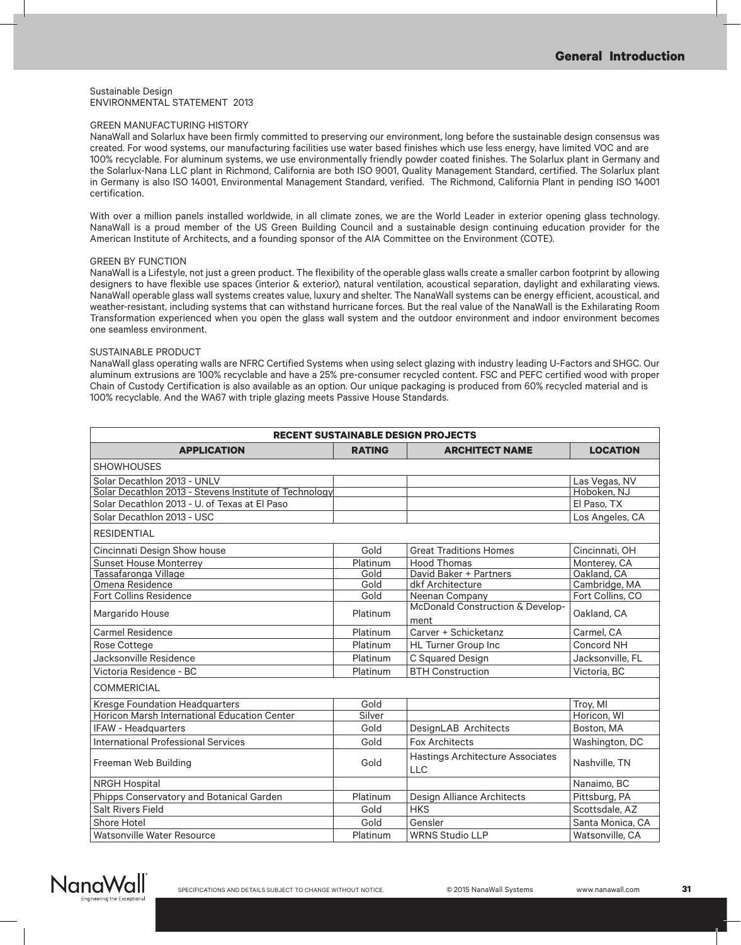#### Sustainable Design ENVIRONMENTAL STATEMENT 2013

#### GREEN MANUFACTURING HISTORY

NanaWall and Solarlux have been firmly committed to preserving our environment, long before the sustainable design consensus was created. For wood systems, our manufacturing facilities use water based finishes which use less energy, have limited VOC and are 100% recyclable. For aluminum systems, we use environmentally friendly powder coated finishes. The Solarlux plant in Germany and the Solarlux-Nana LLC plant in Richmond, California are both ISO 9001, Quality Management Standard, certified. The Solarlux plant in Germany is also ISO 14001, Environmental Management Standard, verified. The Richmond, California Plant in pending ISO 14001 certification.

With over a million panels installed worldwide, in all climate zones, we are the World Leader in exterior opening glass technology. NanaWall is a proud member of the US Green Building Council and a sustainable design continuing education provider for the American Institute of Architects, and a founding sponsor of the AIA Committee on the Environment (COTE).

#### GREEN BY FUNCTION

NanaWall is a Lifestyle, not just a green product. The flexibility of the operable glass walls create a smaller carbon footprint by allowing designers to have flexible use spaces (interior & exterior), natural ventilation, acoustical separation, daylight and exhilarating views. NanaWall operable glass wall systems creates value, luxury and shelter. The NanaWall systems can be energy efficient, acoustical, and weather-resistant, including systems that can withstand hurricane forces. But the real value of the NanaWall is the Exhilarating Room Transformation experienced when you open the glass wall system and the outdoor environment and indoor environment becomes one seamless environment.

#### SUSTAINABLE PRODUCT

NanaWall glass operating walls are NFRC Certified Systems when using select glazing with industry leading U-Factors and SHGC. Our aluminum extrusions are 100% recyclable and have a 25% pre-consumer recycled content. FSC and PEFC certified wood with proper Chain of Custody Certification is also available as an option. Our unique packaging is produced from 60% recycled material and is 100% recyclable. And the WA67 with triple glazing meets Passive House Standards.

| <b>RECENT SUSTAINABLE DESIGN PROJECTS</b>              |               |                                          |                  |  |  |
|--------------------------------------------------------|---------------|------------------------------------------|------------------|--|--|
| <b>APPLICATION</b>                                     | <b>RATING</b> | <b>ARCHITECT NAME</b>                    | <b>LOCATION</b>  |  |  |
| <b>SHOWHOUSES</b>                                      |               |                                          |                  |  |  |
| Solar Decathlon 2013 - UNLV                            |               |                                          | Las Vegas, NV    |  |  |
| Solar Decathlon 2013 - Stevens Institute of Technology |               |                                          | Hoboken, NJ      |  |  |
| Solar Decathlon 2013 - U. of Texas at El Paso          |               |                                          | El Paso, TX      |  |  |
| Solar Decathlon 2013 - USC                             |               |                                          | Los Angeles, CA  |  |  |
| <b>RESIDENTIAL</b>                                     |               |                                          |                  |  |  |
| Cincinnati Design Show house                           | Gold          | <b>Great Traditions Homes</b>            | Cincinnati, OH   |  |  |
| <b>Sunset House Monterrey</b>                          | Platinum      | <b>Hood Thomas</b>                       | Monterey, CA     |  |  |
| Tassafaronga Village                                   | Gold          | David Baker + Partners                   | Oakland, CA      |  |  |
| Omena Residence                                        | Gold          | dkf Architecture                         | Cambridge, MA    |  |  |
| <b>Fort Collins Residence</b>                          | Gold          | Neenan Company                           | Fort Collins, CO |  |  |
| Margarido House                                        | Platinum      | McDonald Construction & Develop-<br>ment | Oakland, CA      |  |  |
| Carmel Residence                                       | Platinum      | Carver + Schicketanz                     | Carmel, CA       |  |  |
| Rose Cottege                                           | Platinum      | HL Turner Group Inc                      | Concord NH       |  |  |
| Jacksonville Residence                                 | Platinum      | C Squared Design                         | Jacksonville, FL |  |  |
| Victoria Residence - BC                                | Platinum      | <b>BTH Construction</b>                  | Victoria, BC     |  |  |
| <b>COMMERICIAL</b>                                     |               |                                          |                  |  |  |
| <b>Kresge Foundation Headquarters</b>                  | Gold          |                                          | Troy, MI         |  |  |
| Horicon Marsh International Education Center           | Silver        |                                          | Horicon, WI      |  |  |
| <b>IFAW - Headquarters</b>                             | Gold          | DesignLAB Architects                     | Boston, MA       |  |  |
| <b>International Professional Services</b>             | Gold          | <b>Fox Architects</b>                    | Washington, DC   |  |  |
| Freeman Web Building                                   | Gold          | Hastings Architecture Associates<br>LLC  | Nashville, TN    |  |  |
| <b>NRGH Hospital</b>                                   |               |                                          | Nanaimo, BC      |  |  |
| Phipps Conservatory and Botanical Garden               | Platinum      | Design Alliance Architects               | Pittsburg, PA    |  |  |
| Salt Rivers Field                                      | Gold          | <b>HKS</b>                               | Scottsdale, AZ   |  |  |
| Shore Hotel                                            | Gold          | Gensler                                  | Santa Monica, CA |  |  |
| Watsonville Water Resource                             | Platinum      | <b>WRNS Studio LLP</b>                   | Watsonville, CA  |  |  |

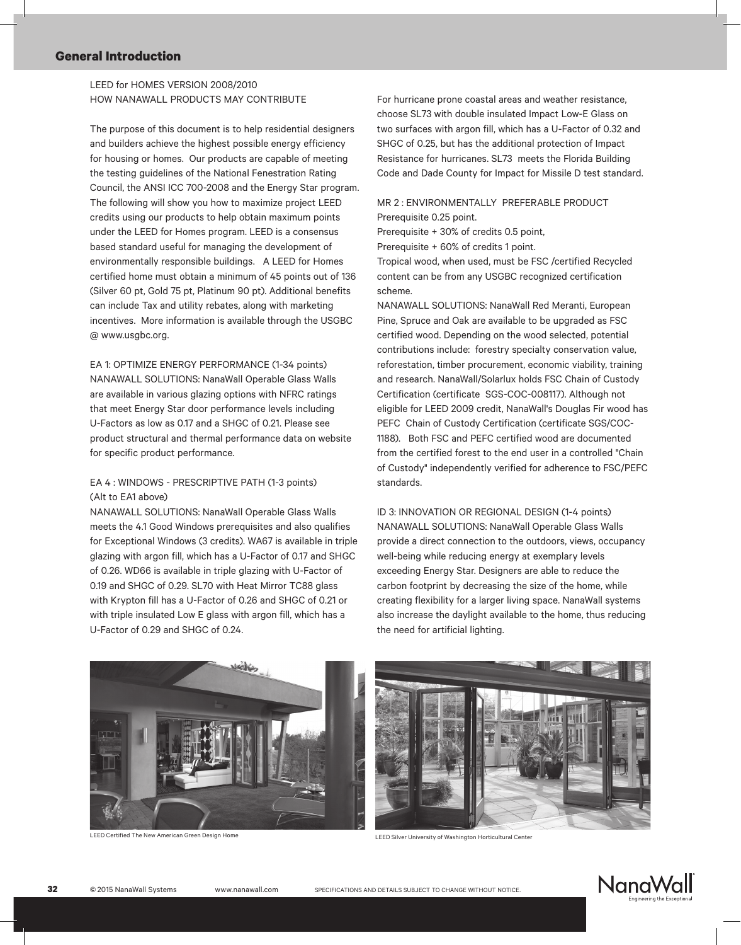## LEED for HOMES VERSION 2008/2010 HOW NANAWALL PRODUCTS MAY CONTRIBUTE

The purpose of this document is to help residential designers and builders achieve the highest possible energy efficiency for housing or homes. Our products are capable of meeting the testing guidelines of the National Fenestration Rating Council, the ANSI ICC 700-2008 and the Energy Star program. The following will show you how to maximize project LEED credits using our products to help obtain maximum points under the LEED for Homes program. LEED is a consensus based standard useful for managing the development of environmentally responsible buildings. A LEED for Homes certified home must obtain a minimum of 45 points out of 136 (Silver 60 pt, Gold 75 pt, Platinum 90 pt). Additional benefits can include Tax and utility rebates, along with marketing incentives. More information is available through the USGBC @ www.usgbc.org.

EA 1: OPTIMIZE ENERGY PERFORMANCE (1-34 points) NANAWALL SOLUTIONS: NanaWall Operable Glass Walls are available in various glazing options with NFRC ratings that meet Energy Star door performance levels including U-Factors as low as 0.17 and a SHGC of 0.21. Please see product structural and thermal performance data on website for specific product performance.

## EA 4 : WINDOWS - PRESCRIPTIVE PATH (1-3 points) (Alt to EA1 above)

NANAWALL SOLUTIONS: NanaWall Operable Glass Walls meets the 4.1 Good Windows prerequisites and also qualifies for Exceptional Windows (3 credits). WA67 is available in triple glazing with argon fill, which has a U-Factor of 0.17 and SHGC of 0.26. WD66 is available in triple glazing with U-Factor of 0.19 and SHGC of 0.29. SL70 with Heat Mirror TC88 glass with Krypton fill has a U-Factor of 0.26 and SHGC of 0.21 or with triple insulated Low E glass with argon fill, which has a U-Factor of 0.29 and SHGC of 0.24.

For hurricane prone coastal areas and weather resistance, choose SL73 with double insulated Impact Low-E Glass on two surfaces with argon fill, which has a U-Factor of 0.32 and SHGC of 0.25, but has the additional protection of Impact Resistance for hurricanes. SL73 meets the Florida Building Code and Dade County for Impact for Missile D test standard.

### MR 2 : ENVIRONMENTALLY PREFERABLE PRODUCT Prerequisite 0.25 point.

Prerequisite + 30% of credits 0.5 point,

Prerequisite + 60% of credits 1 point.

Tropical wood, when used, must be FSC /certified Recycled content can be from any USGBC recognized certification scheme.

NANAWALL SOLUTIONS: NanaWall Red Meranti, European Pine, Spruce and Oak are available to be upgraded as FSC certified wood. Depending on the wood selected, potential contributions include: forestry specialty conservation value, reforestation, timber procurement, economic viability, training and research. NanaWall/Solarlux holds FSC Chain of Custody Certification (certificate SGS-COC-008117). Although not eligible for LEED 2009 credit, NanaWall's Douglas Fir wood has PEFC Chain of Custody Certification (certificate SGS/COC-1188). Both FSC and PEFC certified wood are documented from the certified forest to the end user in a controlled "Chain of Custody" independently verified for adherence to FSC/PEFC standards.

ID 3: INNOVATION OR REGIONAL DESIGN (1-4 points) NANAWALL SOLUTIONS: NanaWall Operable Glass Walls provide a direct connection to the outdoors, views, occupancy well-being while reducing energy at exemplary levels exceeding Energy Star. Designers are able to reduce the carbon footprint by decreasing the size of the home, while creating flexibility for a larger living space. NanaWall systems also increase the daylight available to the home, thus reducing the need for artificial lighting.



LEED Certified The New American Green Design Home LEED Silver University of Washington Horticultural Center



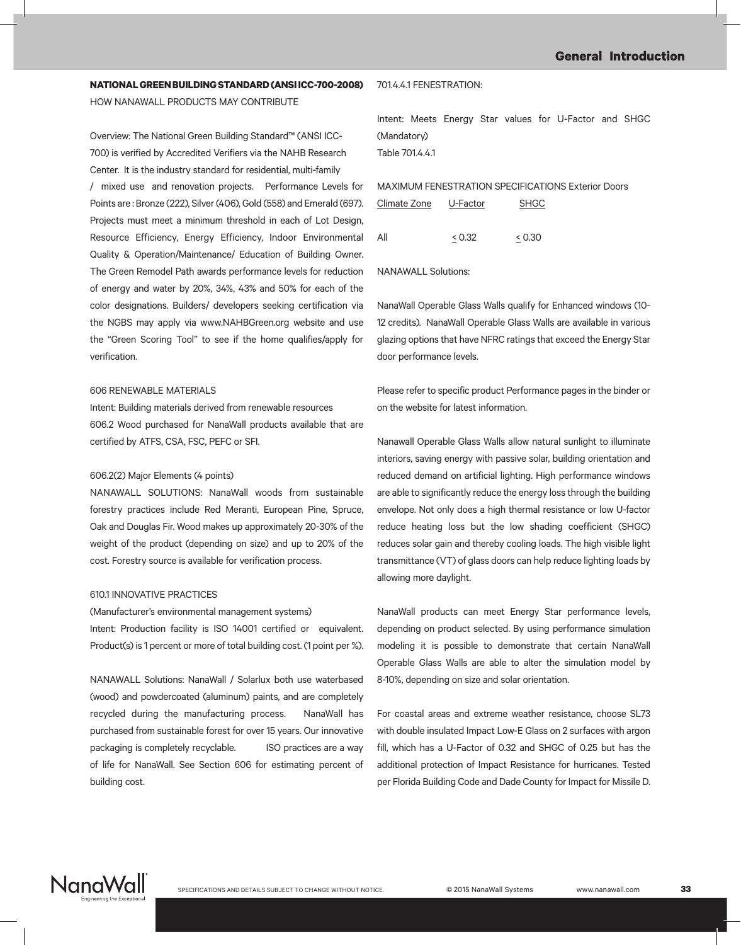# **NATIONAL GREEN BUILDING STANDARD (ANSI ICC-700-2008)**

HOW NANAWALL PRODUCTS MAY CONTRIBUTE

Overview: The National Green Building Standard™ (ANSI ICC-700) is verified by Accredited Verifiers via the NAHB Research Center. It is the industry standard for residential, multi-family / mixed use and renovation projects. Performance Levels for Points are : Bronze (222), Silver (406), Gold (558) and Emerald (697). Projects must meet a minimum threshold in each of Lot Design, Resource Efficiency, Energy Efficiency, Indoor Environmental Quality & Operation/Maintenance/ Education of Building Owner. The Green Remodel Path awards performance levels for reduction of energy and water by 20%, 34%, 43% and 50% for each of the color designations. Builders/ developers seeking certification via the NGBS may apply via www.NAHBGreen.org website and use the "Green Scoring Tool" to see if the home qualifies/apply for verification.

#### 606 RENEWABLE MATERIALS

Intent: Building materials derived from renewable resources 606.2 Wood purchased for NanaWall products available that are certified by ATFS, CSA, FSC, PEFC or SFI.

#### 606.2(2) Major Elements (4 points)

NANAWALL SOLUTIONS: NanaWall woods from sustainable forestry practices include Red Meranti, European Pine, Spruce, Oak and Douglas Fir. Wood makes up approximately 20-30% of the weight of the product (depending on size) and up to 20% of the cost. Forestry source is available for verification process.

#### 610.1 INNOVATIVE PRACTICES

(Manufacturer's environmental management systems)

Intent: Production facility is ISO 14001 certified or equivalent. Product(s) is 1 percent or more of total building cost. (1 point per %).

NANAWALL Solutions: NanaWall / Solarlux both use waterbased (wood) and powdercoated (aluminum) paints, and are completely recycled during the manufacturing process. NanaWall has purchased from sustainable forest for over 15 years. Our innovative packaging is completely recyclable. ISO practices are a way of life for NanaWall. See Section 606 for estimating percent of building cost.

#### 701.4.4.1 FENESTRATION:

Intent: Meets Energy Star values for U-Factor and SHGC (Mandatory) Table 701.4.4.1

MAXIMUM FENESTRATION SPECIFICATIONS Exterior Doors

| Climate Zone | U-Factor | <b>SHGC</b> |  |
|--------------|----------|-------------|--|
| Αll          | & 0.32   | < 0.30      |  |

NANAWALL Solutions:

NanaWall Operable Glass Walls qualify for Enhanced windows (10- 12 credits). NanaWall Operable Glass Walls are available in various glazing options that have NFRC ratings that exceed the Energy Star door performance levels.

Please refer to specific product Performance pages in the binder or on the website for latest information.

Nanawall Operable Glass Walls allow natural sunlight to illuminate interiors, saving energy with passive solar, building orientation and reduced demand on artificial lighting. High performance windows are able to significantly reduce the energy loss through the building envelope. Not only does a high thermal resistance or low U-factor reduce heating loss but the low shading coefficient (SHGC) reduces solar gain and thereby cooling loads. The high visible light transmittance (VT) of glass doors can help reduce lighting loads by allowing more daylight.

NanaWall products can meet Energy Star performance levels, depending on product selected. By using performance simulation modeling it is possible to demonstrate that certain NanaWall Operable Glass Walls are able to alter the simulation model by 8-10%, depending on size and solar orientation.

For coastal areas and extreme weather resistance, choose SL73 with double insulated Impact Low-E Glass on 2 surfaces with argon fill, which has a U-Factor of 0.32 and SHGC of 0.25 but has the additional protection of Impact Resistance for hurricanes. Tested per Florida Building Code and Dade County for Impact for Missile D.

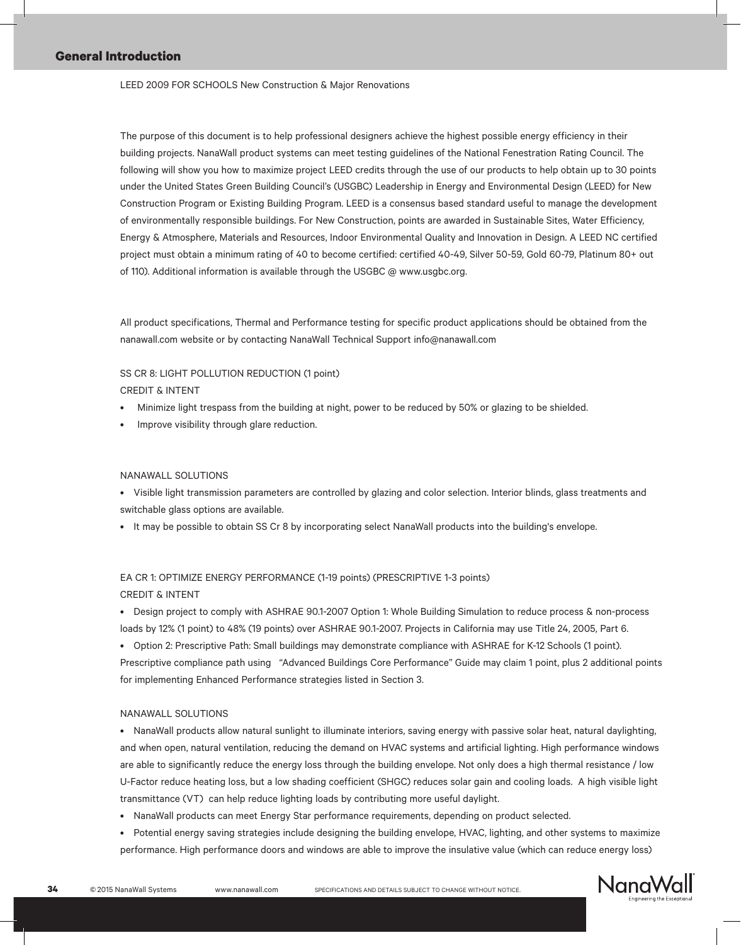#### LEED 2009 FOR SCHOOLS New Construction & Major Renovations

The purpose of this document is to help professional designers achieve the highest possible energy efficiency in their building projects. NanaWall product systems can meet testing guidelines of the National Fenestration Rating Council. The following will show you how to maximize project LEED credits through the use of our products to help obtain up to 30 points under the United States Green Building Council's (USGBC) Leadership in Energy and Environmental Design (LEED) for New Construction Program or Existing Building Program. LEED is a consensus based standard useful to manage the development of environmentally responsible buildings. For New Construction, points are awarded in Sustainable Sites, Water Efficiency, Energy & Atmosphere, Materials and Resources, Indoor Environmental Quality and Innovation in Design. A LEED NC certified project must obtain a minimum rating of 40 to become certified: certified 40-49, Silver 50-59, Gold 60-79, Platinum 80+ out of 110). Additional information is available through the USGBC @ www.usgbc.org.

All product specifications, Thermal and Performance testing for specific product applications should be obtained from the nanawall.com website or by contacting NanaWall Technical Support info@nanawall.com

# SS CR 8: LIGHT POLLUTION REDUCTION (1 point) CREDIT & INTENT

- Minimize light trespass from the building at night, power to be reduced by 50% or glazing to be shielded.
- Improve visibility through glare reduction.

#### NANAWALL SOLUTIONS

- • Visible light transmission parameters are controlled by glazing and color selection. Interior blinds, glass treatments and
- switchable glass options are available.
- • It may be possible to obtain SS Cr 8 by incorporating select NanaWall products into the building's envelope.

# EA CR 1: OPTIMIZE ENERGY PERFORMANCE (1-19 points) (PRESCRIPTIVE 1-3 points) CREDIT & INTENT

• Design project to comply with ASHRAE 90.1-2007 Option 1: Whole Building Simulation to reduce process & non-process loads by 12% (1 point) to 48% (19 points) over ASHRAE 90.1-2007. Projects in California may use Title 24, 2005, Part 6.

• Option 2: Prescriptive Path: Small buildings may demonstrate compliance with ASHRAE for K-12 Schools (1 point). Prescriptive compliance path using "Advanced Buildings Core Performance" Guide may claim 1 point, plus 2 additional points for implementing Enhanced Performance strategies listed in Section 3.

#### NANAWALL SOLUTIONS

• NanaWall products allow natural sunlight to illuminate interiors, saving energy with passive solar heat, natural daylighting, and when open, natural ventilation, reducing the demand on HVAC systems and artificial lighting. High performance windows are able to significantly reduce the energy loss through the building envelope. Not only does a high thermal resistance / low U-Factor reduce heating loss, but a low shading coefficient (SHGC) reduces solar gain and cooling loads. A high visible light transmittance (VT) can help reduce lighting loads by contributing more useful daylight.

- • NanaWall products can meet Energy Star performance requirements, depending on product selected.
- • Potential energy saving strategies include designing the building envelope, HVAC, lighting, and other systems to maximize performance. High performance doors and windows are able to improve the insulative value (which can reduce energy loss)

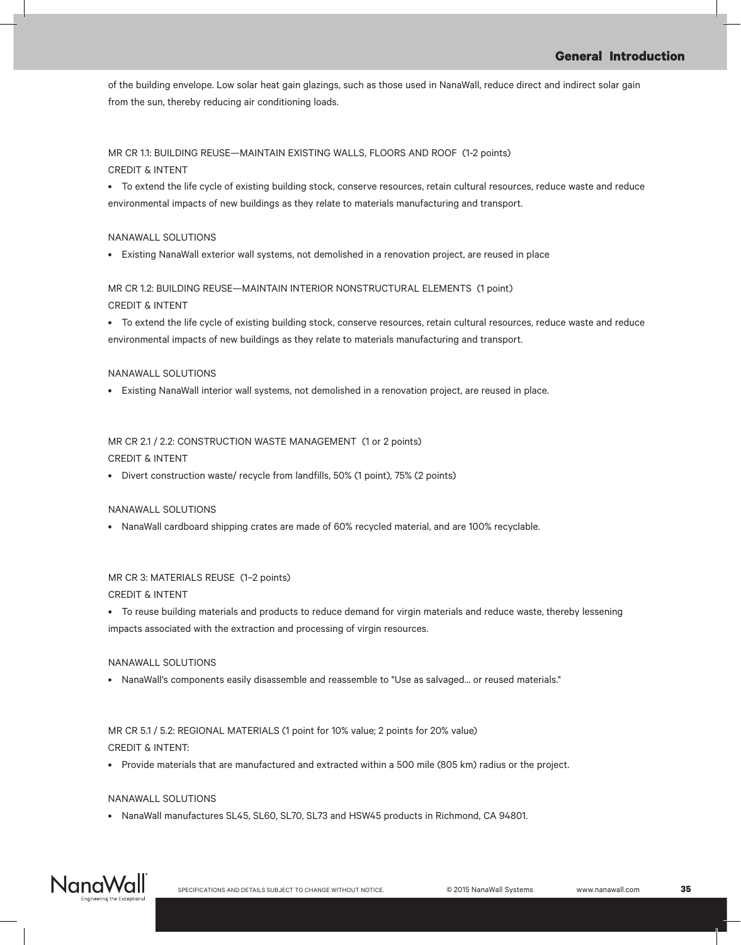of the building envelope. Low solar heat gain glazings, such as those used in NanaWall, reduce direct and indirect solar gain from the sun, thereby reducing air conditioning loads.

## MR CR 1.1: BUILDING REUSE—MAINTAIN EXISTING WALLS, FLOORS AND ROOF (1-2 points) CREDIT & INTENT

• To extend the life cycle of existing building stock, conserve resources, retain cultural resources, reduce waste and reduce environmental impacts of new buildings as they relate to materials manufacturing and transport.

### NANAWALL SOLUTIONS

• Existing NanaWall exterior wall systems, not demolished in a renovation project, are reused in place

# MR CR 1.2: BUILDING REUSE—MAINTAIN INTERIOR NONSTRUCTURAL ELEMENTS (1 point) CREDIT & INTENT

• To extend the life cycle of existing building stock, conserve resources, retain cultural resources, reduce waste and reduce environmental impacts of new buildings as they relate to materials manufacturing and transport.

### NANAWALL SOLUTIONS

• Existing NanaWall interior wall systems, not demolished in a renovation project, are reused in place.

# MR CR 2.1 / 2.2: CONSTRUCTION WASTE MANAGEMENT (1 or 2 points) CREDIT & INTENT

• Divert construction waste/ recycle from landfills, 50% (1 point), 75% (2 points)

### NANAWALL SOLUTIONS

• NanaWall cardboard shipping crates are made of 60% recycled material, and are 100% recyclable.

# MR CR 3: MATERIALS REUSE (1–2 points)

CREDIT & INTENT

• To reuse building materials and products to reduce demand for virgin materials and reduce waste, thereby lessening impacts associated with the extraction and processing of virgin resources.

### NANAWALL SOLUTIONS

• NanaWall's components easily disassemble and reassemble to "Use as salvaged... or reused materials."

# MR CR 5.1 / 5.2: REGIONAL MATERIALS (1 point for 10% value; 2 points for 20% value) CREDIT & INTENT:

• Provide materials that are manufactured and extracted within a 500 mile (805 km) radius or the project.

## NANAWALL SOLUTIONS

• NanaWall manufactures SL45, SL60, SL70, SL73 and HSW45 products in Richmond, CA 94801.

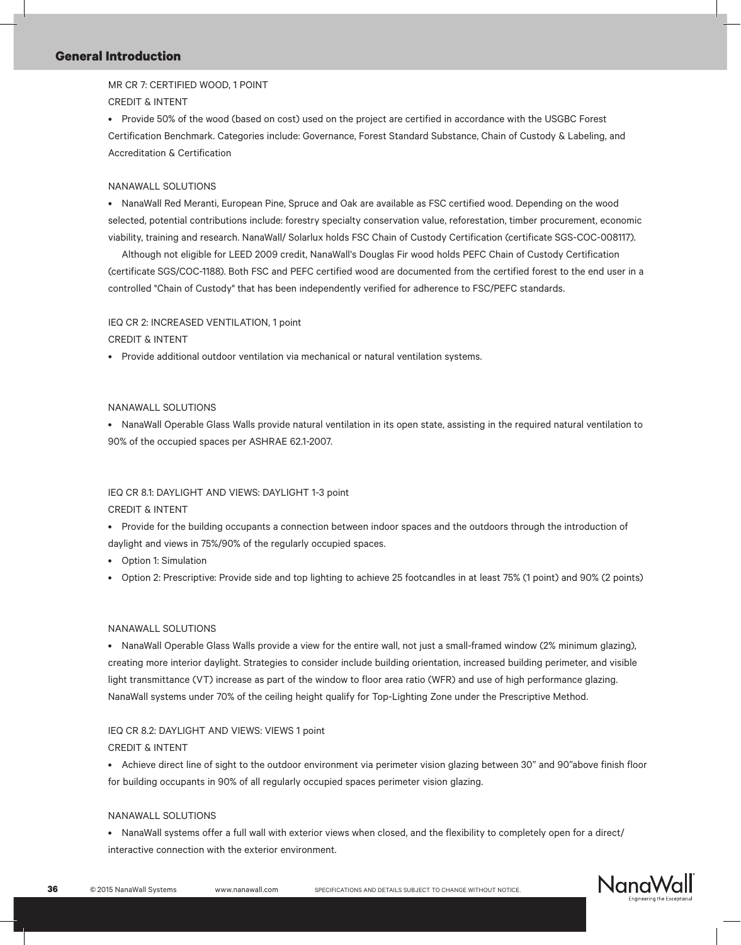MR CR 7: CERTIFIED WOOD, 1 POINT CREDIT & INTENT

• Provide 50% of the wood (based on cost) used on the project are certified in accordance with the USGBC Forest Certification Benchmark. Categories include: Governance, Forest Standard Substance, Chain of Custody & Labeling, and Accreditation & Certification

#### NANAWALL SOLUTIONS

• NanaWall Red Meranti, European Pine, Spruce and Oak are available as FSC certified wood. Depending on the wood selected, potential contributions include: forestry specialty conservation value, reforestation, timber procurement, economic viability, training and research. NanaWall/ Solarlux holds FSC Chain of Custody Certification (certificate SGS-COC-008117).

 Although not eligible for LEED 2009 credit, NanaWall's Douglas Fir wood holds PEFC Chain of Custody Certification (certificate SGS/COC-1188). Both FSC and PEFC certified wood are documented from the certified forest to the end user in a controlled "Chain of Custody" that has been independently verified for adherence to FSC/PEFC standards.

#### IEQ CR 2: INCREASED VENTILATION, 1 point

CREDIT & INTENT

• Provide additional outdoor ventilation via mechanical or natural ventilation systems.

### NANAWALL SOLUTIONS

• NanaWall Operable Glass Walls provide natural ventilation in its open state, assisting in the required natural ventilation to 90% of the occupied spaces per ASHRAE 62.1-2007.

# IEQ CR 8.1: DAYLIGHT AND VIEWS: DAYLIGHT 1-3 point CREDIT & INTENT

- • Provide for the building occupants a connection between indoor spaces and the outdoors through the introduction of daylight and views in 75%/90% of the regularly occupied spaces.
- • Option 1: Simulation
- • Option 2: Prescriptive: Provide side and top lighting to achieve 25 footcandles in at least 75% (1 point) and 90% (2 points)

#### NANAWALL SOLUTIONS

• NanaWall Operable Glass Walls provide a view for the entire wall, not just a small-framed window (2% minimum glazing), creating more interior daylight. Strategies to consider include building orientation, increased building perimeter, and visible light transmittance (VT) increase as part of the window to floor area ratio (WFR) and use of high performance glazing. NanaWall systems under 70% of the ceiling height qualify for Top-Lighting Zone under the Prescriptive Method.

### IEQ CR 8.2: DAYLIGHT AND VIEWS: VIEWS 1 point

#### CREDIT & INTENT

• Achieve direct line of sight to the outdoor environment via perimeter vision glazing between 30" and 90"above finish floor for building occupants in 90% of all regularly occupied spaces perimeter vision glazing.

#### NANAWALL SOLUTIONS

• NanaWall systems offer a full wall with exterior views when closed, and the flexibility to completely open for a direct/ interactive connection with the exterior environment.

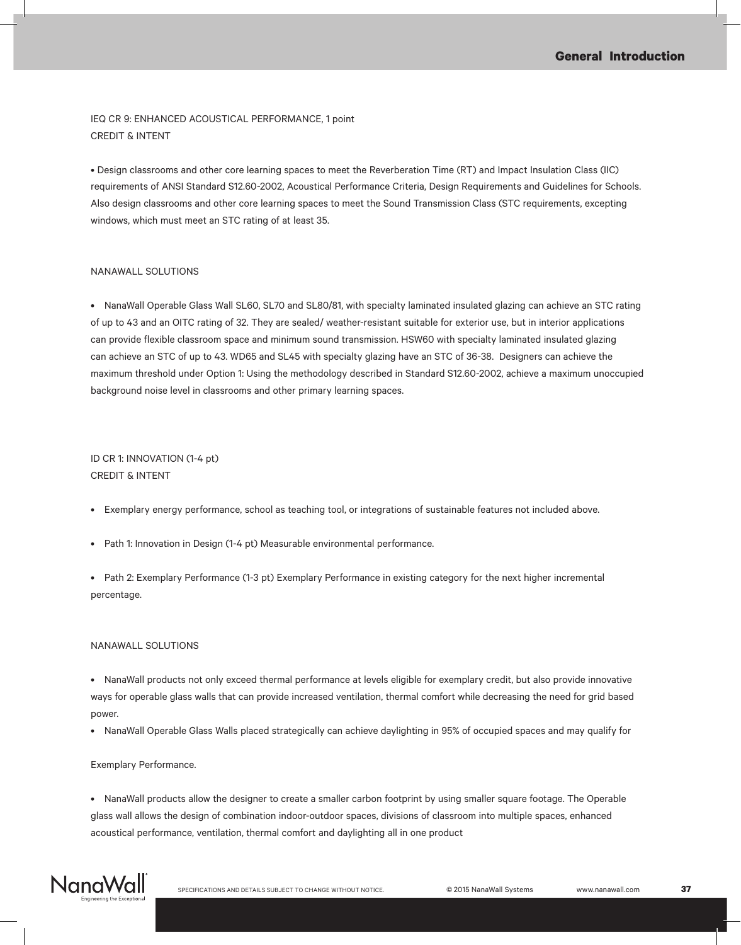IEQ CR 9: ENHANCED ACOUSTICAL PERFORMANCE, 1 point CREDIT & INTENT

• Design classrooms and other core learning spaces to meet the Reverberation Time (RT) and Impact Insulation Class (IIC) requirements of ANSI Standard S12.60-2002, Acoustical Performance Criteria, Design Requirements and Guidelines for Schools. Also design classrooms and other core learning spaces to meet the Sound Transmission Class (STC requirements, excepting windows, which must meet an STC rating of at least 35.

#### NANAWALL SOLUTIONS

• NanaWall Operable Glass Wall SL60, SL70 and SL80/81, with specialty laminated insulated glazing can achieve an STC rating of up to 43 and an OITC rating of 32. They are sealed/ weather-resistant suitable for exterior use, but in interior applications can provide flexible classroom space and minimum sound transmission. HSW60 with specialty laminated insulated glazing can achieve an STC of up to 43. WD65 and SL45 with specialty glazing have an STC of 36-38. Designers can achieve the maximum threshold under Option 1: Using the methodology described in Standard S12.60-2002, achieve a maximum unoccupied background noise level in classrooms and other primary learning spaces.

# ID CR 1: INNOVATION (1-4 pt) CREDIT & INTENT

- • Exemplary energy performance, school as teaching tool, or integrations of sustainable features not included above.
- Path 1: Innovation in Design (1-4 pt) Measurable environmental performance.

• Path 2: Exemplary Performance (1-3 pt) Exemplary Performance in existing category for the next higher incremental percentage.

#### NANAWALL SOLUTIONS

• NanaWall products not only exceed thermal performance at levels eligible for exemplary credit, but also provide innovative ways for operable glass walls that can provide increased ventilation, thermal comfort while decreasing the need for grid based power.

• NanaWall Operable Glass Walls placed strategically can achieve daylighting in 95% of occupied spaces and may qualify for

#### Exemplary Performance.

• NanaWall products allow the designer to create a smaller carbon footprint by using smaller square footage. The Operable glass wall allows the design of combination indoor-outdoor spaces, divisions of classroom into multiple spaces, enhanced acoustical performance, ventilation, thermal comfort and daylighting all in one product

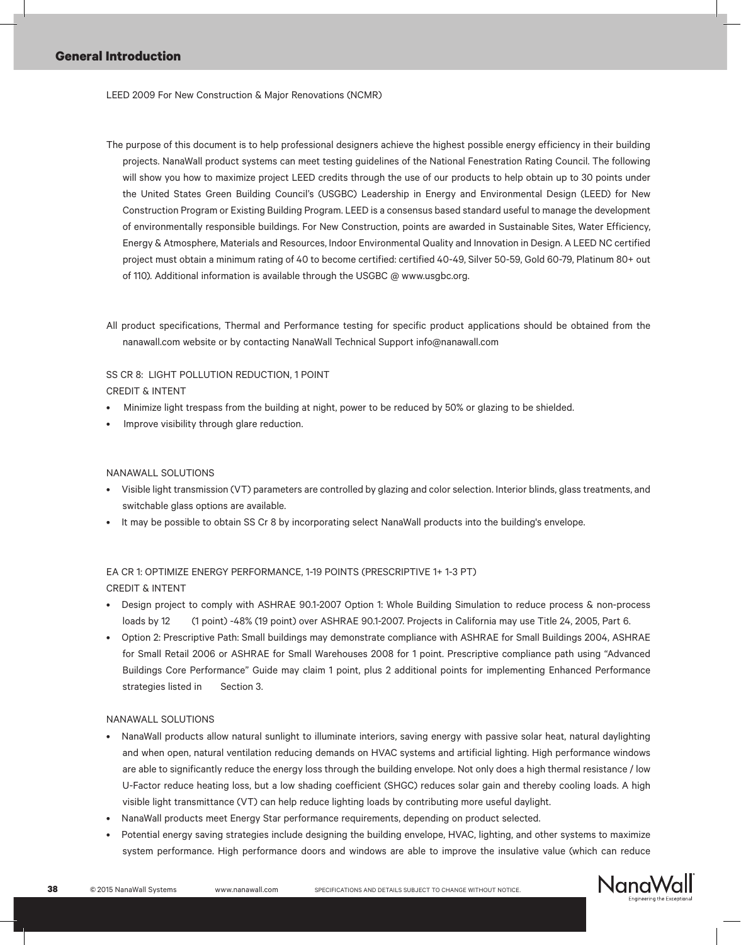LEED 2009 For New Construction & Major Renovations (NCMR)

- The purpose of this document is to help professional designers achieve the highest possible energy efficiency in their building projects. NanaWall product systems can meet testing guidelines of the National Fenestration Rating Council. The following will show you how to maximize project LEED credits through the use of our products to help obtain up to 30 points under the United States Green Building Council's (USGBC) Leadership in Energy and Environmental Design (LEED) for New Construction Program or Existing Building Program. LEED is a consensus based standard useful to manage the development of environmentally responsible buildings. For New Construction, points are awarded in Sustainable Sites, Water Efficiency, Energy & Atmosphere, Materials and Resources, Indoor Environmental Quality and Innovation in Design. A LEED NC certified project must obtain a minimum rating of 40 to become certified: certified 40-49, Silver 50-59, Gold 60-79, Platinum 80+ out of 110). Additional information is available through the USGBC @ www.usgbc.org.
- All product specifications, Thermal and Performance testing for specific product applications should be obtained from the nanawall.com website or by contacting NanaWall Technical Support info@nanawall.com

## SS CR 8: LIGHT POLLUTION REDUCTION, 1 POINT CREDIT & INTENT

- Minimize light trespass from the building at night, power to be reduced by 50% or glazing to be shielded.
- Improve visibility through glare reduction.

### NANAWALL SOLUTIONS

- • Visible light transmission (VT) parameters are controlled by glazing and color selection. Interior blinds, glass treatments, and switchable glass options are available.
- It may be possible to obtain SS Cr 8 by incorporating select NanaWall products into the building's envelope.

# EA CR 1: OPTIMIZE ENERGY PERFORMANCE, 1-19 POINTS (PRESCRIPTIVE 1+ 1-3 PT) CREDIT & INTENT

- Design project to comply with ASHRAE 90.1-2007 Option 1: Whole Building Simulation to reduce process & non-process loads by 12 (1 point) -48% (19 point) over ASHRAE 90.1-2007. Projects in California may use Title 24, 2005, Part 6.
- • Option 2: Prescriptive Path: Small buildings may demonstrate compliance with ASHRAE for Small Buildings 2004, ASHRAE for Small Retail 2006 or ASHRAE for Small Warehouses 2008 for 1 point. Prescriptive compliance path using "Advanced Buildings Core Performance" Guide may claim 1 point, plus 2 additional points for implementing Enhanced Performance strategies listed in Section 3.

### NANAWALL SOLUTIONS

- NanaWall products allow natural sunlight to illuminate interiors, saving energy with passive solar heat, natural daylighting and when open, natural ventilation reducing demands on HVAC systems and artificial lighting. High performance windows are able to significantly reduce the energy loss through the building envelope. Not only does a high thermal resistance / low U-Factor reduce heating loss, but a low shading coefficient (SHGC) reduces solar gain and thereby cooling loads. A high visible light transmittance (VT) can help reduce lighting loads by contributing more useful daylight.
- NanaWall products meet Energy Star performance requirements, depending on product selected.
- Potential energy saving strategies include designing the building envelope, HVAC, lighting, and other systems to maximize system performance. High performance doors and windows are able to improve the insulative value (which can reduce

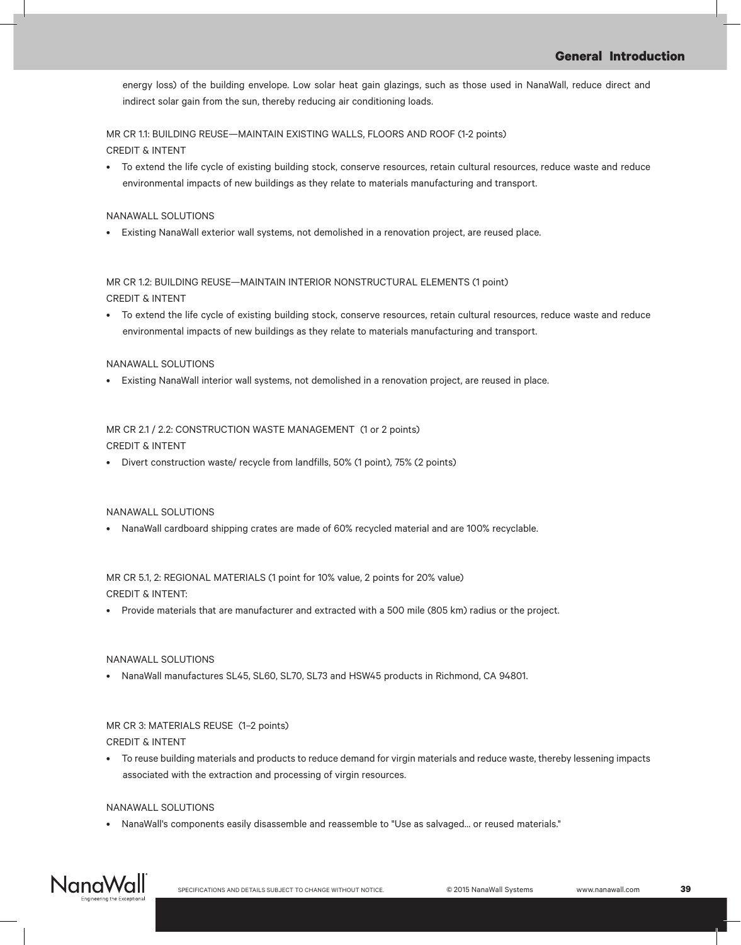energy loss) of the building envelope. Low solar heat gain glazings, such as those used in NanaWall, reduce direct and indirect solar gain from the sun, thereby reducing air conditioning loads.

# MR CR 1.1: BUILDING REUSE—MAINTAIN EXISTING WALLS, FLOORS AND ROOF (1-2 points) CREDIT & INTENT

• To extend the life cycle of existing building stock, conserve resources, retain cultural resources, reduce waste and reduce environmental impacts of new buildings as they relate to materials manufacturing and transport.

### NANAWALL SOLUTIONS

• Existing NanaWall exterior wall systems, not demolished in a renovation project, are reused place.

MR CR 1.2: BUILDING REUSE—MAINTAIN INTERIOR NONSTRUCTURAL ELEMENTS (1 point) CREDIT & INTENT

• To extend the life cycle of existing building stock, conserve resources, retain cultural resources, reduce waste and reduce environmental impacts of new buildings as they relate to materials manufacturing and transport.

### NANAWALL SOLUTIONS

• Existing NanaWall interior wall systems, not demolished in a renovation project, are reused in place.

# MR CR 2.1 / 2.2: CONSTRUCTION WASTE MANAGEMENT (1 or 2 points) CREDIT & INTENT

• Divert construction waste/ recycle from landfills, 50% (1 point), 75% (2 points)

### NANAWALL SOLUTIONS

NanaWall cardboard shipping crates are made of 60% recycled material and are 100% recyclable.

MR CR 5.1, 2: REGIONAL MATERIALS (1 point for 10% value, 2 points for 20% value) CREDIT & INTENT:

• Provide materials that are manufacturer and extracted with a 500 mile (805 km) radius or the project.

# NANAWALL SOLUTIONS

NanaWall manufactures SL45, SL60, SL70, SL73 and HSW45 products in Richmond, CA 94801.

# MR CR 3: MATERIALS REUSE (1–2 points) CREDIT & INTENT

• To reuse building materials and products to reduce demand for virgin materials and reduce waste, thereby lessening impacts associated with the extraction and processing of virgin resources.

### NANAWALL SOLUTIONS

• NanaWall's components easily disassemble and reassemble to "Use as salvaged... or reused materials."

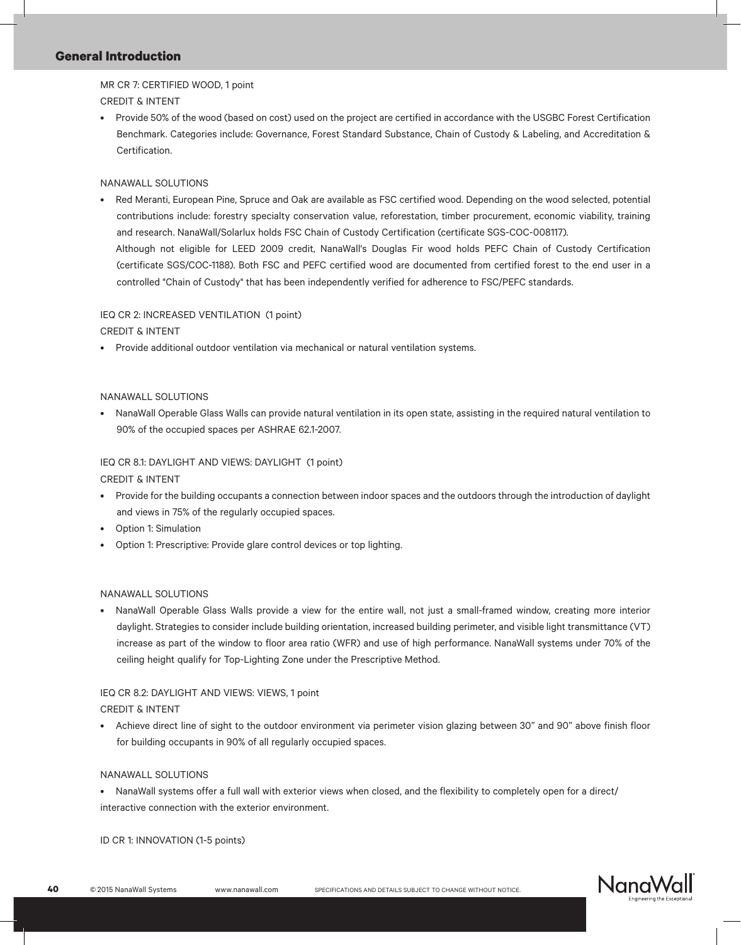MR CR 7: CERTIFIED WOOD, 1 point CREDIT & INTENT

• Provide 50% of the wood (based on cost) used on the project are certified in accordance with the USGBC Forest Certification Benchmark. Categories include: Governance, Forest Standard Substance, Chain of Custody & Labeling, and Accreditation & Certification.

### NANAWALL SOLUTIONS

Red Meranti, European Pine, Spruce and Oak are available as FSC certified wood. Depending on the wood selected, potential contributions include: forestry specialty conservation value, reforestation, timber procurement, economic viability, training and research. NanaWall/Solarlux holds FSC Chain of Custody Certification (certificate SGS-COC-008117). Although not eligible for LEED 2009 credit, NanaWall's Douglas Fir wood holds PEFC Chain of Custody Certification (certificate SGS/COC-1188). Both FSC and PEFC certified wood are documented from certified forest to the end user in a controlled "Chain of Custody" that has been independently verified for adherence to FSC/PEFC standards.

# IEQ CR 2: INCREASED VENTILATION (1 point)

CREDIT & INTENT

• Provide additional outdoor ventilation via mechanical or natural ventilation systems.

### NANAWALL SOLUTIONS

• NanaWall Operable Glass Walls can provide natural ventilation in its open state, assisting in the required natural ventilation to 90% of the occupied spaces per ASHRAE 62.1-2007.

## IEQ CR 8.1: DAYLIGHT AND VIEWS: DAYLIGHT (1 point)

CREDIT & INTENT

- • Provide for the building occupants a connection between indoor spaces and the outdoors through the introduction of daylight and views in 75% of the regularly occupied spaces.
- **Option 1: Simulation**
- Option 1: Prescriptive: Provide glare control devices or top lighting.

### NANAWALL SOLUTIONS

• NanaWall Operable Glass Walls provide a view for the entire wall, not just a small-framed window, creating more interior daylight. Strategies to consider include building orientation, increased building perimeter, and visible light transmittance (VT) increase as part of the window to floor area ratio (WFR) and use of high performance. NanaWall systems under 70% of the ceiling height qualify for Top-Lighting Zone under the Prescriptive Method.

# IEQ CR 8.2: DAYLIGHT AND VIEWS: VIEWS, 1 point

### CREDIT & INTENT

• Achieve direct line of sight to the outdoor environment via perimeter vision glazing between 30" and 90" above finish floor for building occupants in 90% of all regularly occupied spaces.

## NANAWALL SOLUTIONS

• NanaWall systems offer a full wall with exterior views when closed, and the flexibility to completely open for a direct/ interactive connection with the exterior environment.

ID CR 1: INNOVATION (1-5 points)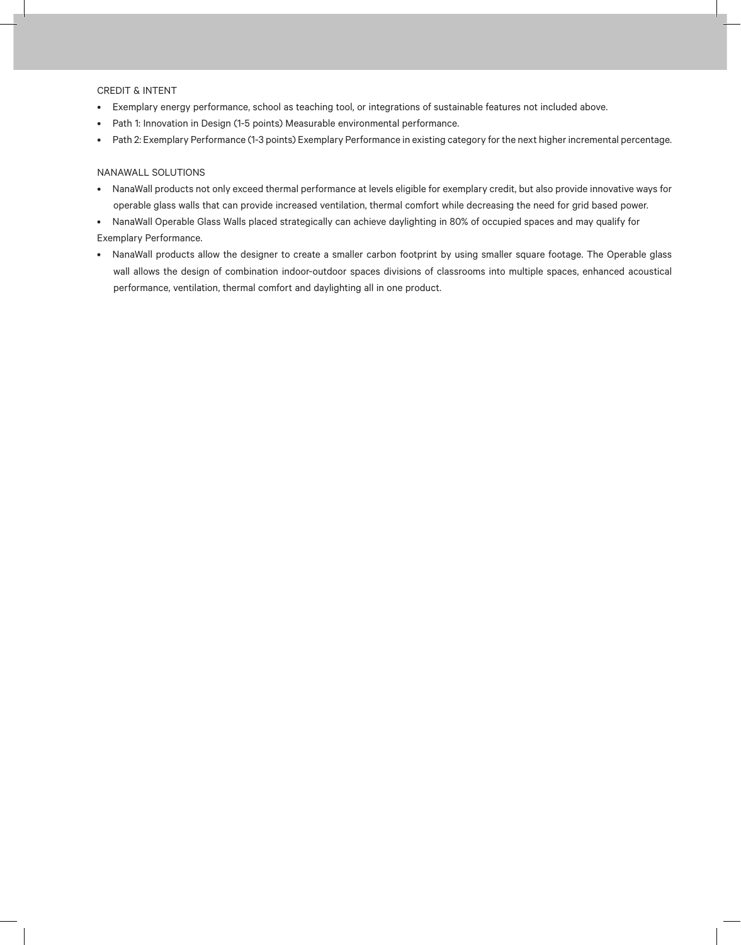#### CREDIT & INTENT

- • Exemplary energy performance, school as teaching tool, or integrations of sustainable features not included above.
- Path 1: Innovation in Design (1-5 points) Measurable environmental performance.
- • Path 2: Exemplary Performance (1-3 points) Exemplary Performance in existing category for the next higher incremental percentage.

### NANAWALL SOLUTIONS

- • NanaWall products not only exceed thermal performance at levels eligible for exemplary credit, but also provide innovative ways for operable glass walls that can provide increased ventilation, thermal comfort while decreasing the need for grid based power.
- • NanaWall Operable Glass Walls placed strategically can achieve daylighting in 80% of occupied spaces and may qualify for

### Exemplary Performance.

• NanaWall products allow the designer to create a smaller carbon footprint by using smaller square footage. The Operable glass wall allows the design of combination indoor-outdoor spaces divisions of classrooms into multiple spaces, enhanced acoustical performance, ventilation, thermal comfort and daylighting all in one product.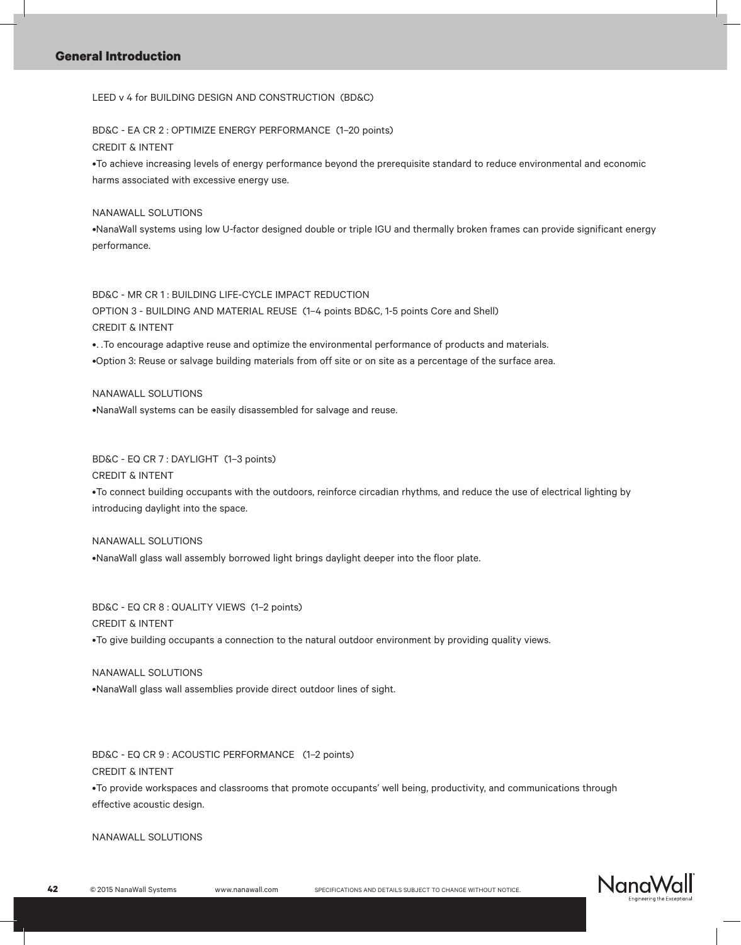LEED v 4 for BUILDING DESIGN AND CONSTRUCTION (BD&C)

BD&C - EA CR 2 : OPTIMIZE ENERGY PERFORMANCE (1–20 points) CREDIT & INTENT

•.To achieve increasing levels of energy performance beyond the prerequisite standard to reduce environmental and economic harms associated with excessive energy use.

NANAWALL SOLUTIONS

•.NanaWall systems using low U-factor designed double or triple IGU and thermally broken frames can provide significant energy performance.

BD&C - MR CR 1 : BUILDING LIFE-CYCLE IMPACT REDUCTION OPTION 3 - BUILDING AND MATERIAL REUSE (1–4 points BD&C, 1-5 points Core and Shell) CREDIT & INTENT •. To encourage adaptive reuse and optimize the environmental performance of products and materials.

•.Option 3: Reuse or salvage building materials from off site or on site as a percentage of the surface area.

NANAWALL SOLUTIONS •NanaWall systems can be easily disassembled for salvage and reuse.

BD&C - EQ CR 7 : DAYLIGHT (1–3 points) CREDIT & INTENT •.To connect building occupants with the outdoors, reinforce circadian rhythms, and reduce the use of electrical lighting by introducing daylight into the space.

NANAWALL SOLUTIONS •NanaWall glass wall assembly borrowed light brings daylight deeper into the floor plate.

BD&C - EQ CR 8 : QUALITY VIEWS (1–2 points) CREDIT & INTENT •.To give building occupants a connection to the natural outdoor environment by providing quality views.

NANAWALL SOLUTIONS •NanaWall glass wall assemblies provide direct outdoor lines of sight.

BD&C - EQ CR 9 : ACOUSTIC PERFORMANCE (1–2 points) CREDIT & INTENT •.To provide workspaces and classrooms that promote occupants' well being, productivity, and communications through effective acoustic design.

NANAWALL SOLUTIONS

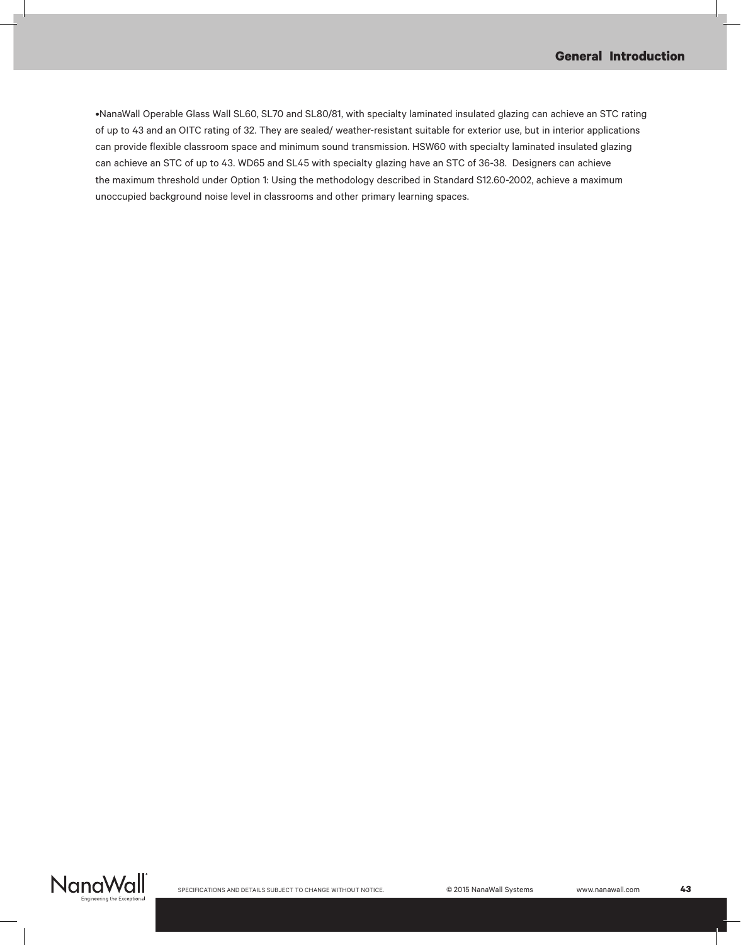•.NanaWall Operable Glass Wall SL60, SL70 and SL80/81, with specialty laminated insulated glazing can achieve an STC rating of up to 43 and an OITC rating of 32. They are sealed/ weather-resistant suitable for exterior use, but in interior applications can provide flexible classroom space and minimum sound transmission. HSW60 with specialty laminated insulated glazing can achieve an STC of up to 43. WD65 and SL45 with specialty glazing have an STC of 36-38. Designers can achieve the maximum threshold under Option 1: Using the methodology described in Standard S12.60-2002, achieve a maximum unoccupied background noise level in classrooms and other primary learning spaces.

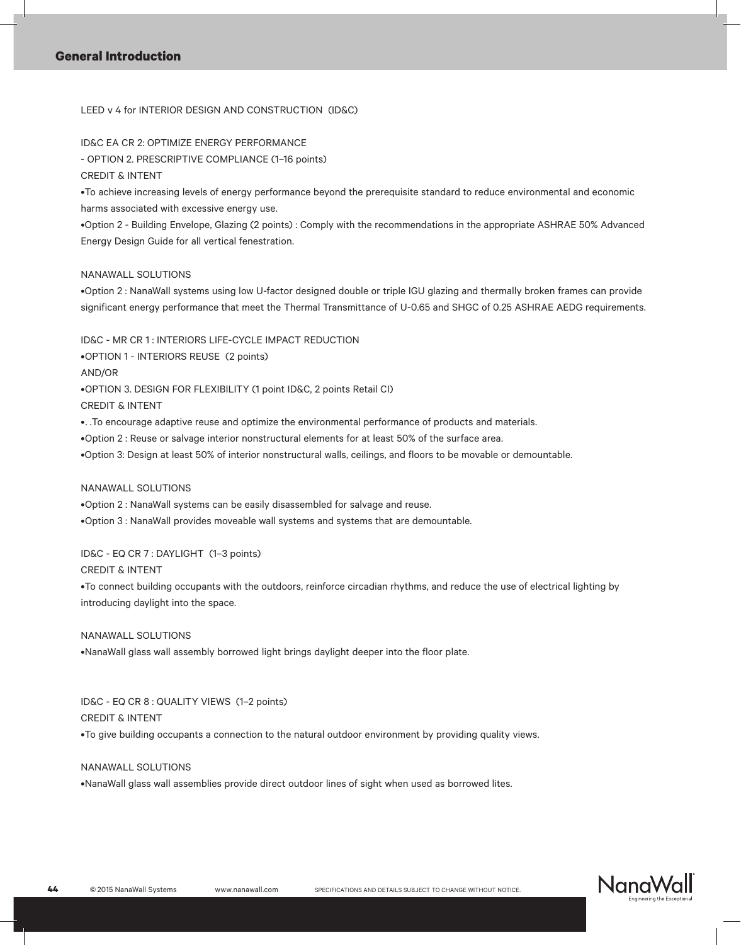LEED v 4 for INTERIOR DESIGN AND CONSTRUCTION (ID&C)

ID&C EA CR 2: OPTIMIZE ENERGY PERFORMANCE

- OPTION 2. PRESCRIPTIVE COMPLIANCE (1–16 points)

CREDIT & INTENT

•.To achieve increasing levels of energy performance beyond the prerequisite standard to reduce environmental and economic harms associated with excessive energy use.

•.Option 2 - Building Envelope, Glazing (2 points) : Comply with the recommendations in the appropriate ASHRAE 50% Advanced Energy Design Guide for all vertical fenestration.

### NANAWALL SOLUTIONS

•.Option 2 : NanaWall systems using low U-factor designed double or triple IGU glazing and thermally broken frames can provide significant energy performance that meet the Thermal Transmittance of U-0.65 and SHGC of 0.25 ASHRAE AEDG requirements.

ID&C - MR CR 1 : INTERIORS LIFE-CYCLE IMPACT REDUCTION

•OPTION 1 - INTERIORS REUSE (2 points) AND/OR •OPTION 3. DESIGN FOR FLEXIBILITY (1 point ID&C, 2 points Retail CI) CREDIT & INTENT

•. To encourage adaptive reuse and optimize the environmental performance of products and materials.

•Option 2 : Reuse or salvage interior nonstructural elements for at least 50% of the surface area.

•.Option 3: Design at least 50% of interior nonstructural walls, ceilings, and floors to be movable or demountable.

#### NANAWALL SOLUTIONS

•Option 2 : NanaWall systems can be easily disassembled for salvage and reuse.

•Option 3 : NanaWall provides moveable wall systems and systems that are demountable.

ID&C - EQ CR 7 : DAYLIGHT (1–3 points)

CREDIT & INTENT

•.To connect building occupants with the outdoors, reinforce circadian rhythms, and reduce the use of electrical lighting by introducing daylight into the space.

NANAWALL SOLUTIONS

•NanaWall glass wall assembly borrowed light brings daylight deeper into the floor plate.

ID&C - EQ CR 8 : QUALITY VIEWS (1–2 points) CREDIT & INTENT

•.To give building occupants a connection to the natural outdoor environment by providing quality views.

NANAWALL SOLUTIONS

•NanaWall glass wall assemblies provide direct outdoor lines of sight when used as borrowed lites.